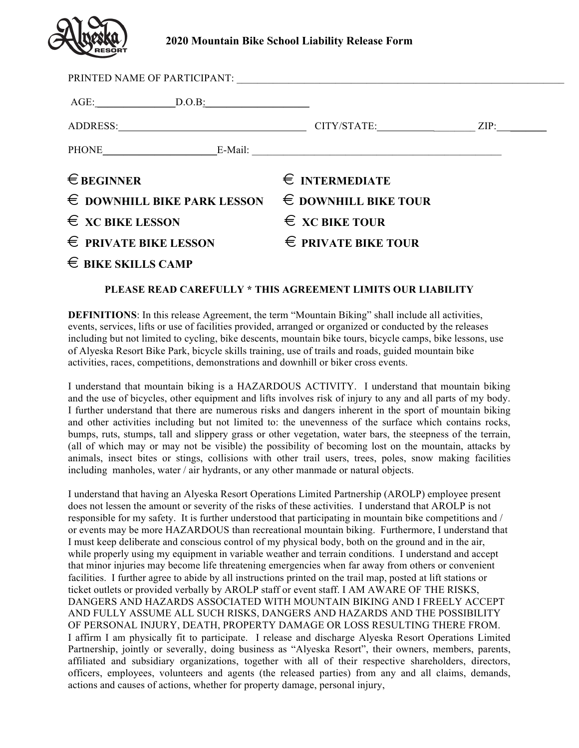

## **2020 Mountain Bike School Liability Release Form**

| ADDRESS: ZIP: ZIP: ZIP:              |                               |  |
|--------------------------------------|-------------------------------|--|
| PHONE E-Mail: E-Mail:                |                               |  |
| $\in$ BEGINNER                       | $\epsilon$ INTERMEDIATE       |  |
| $\epsilon$ downhill bike park lesson | $\epsilon$ downhill bike tour |  |
| $\epsilon$ xc bike lesson            | $\epsilon$ xc bike tour       |  |
| $\epsilon$ private bike lesson       | $\epsilon$ private bike tour  |  |
| $\epsilon$ BIKE SKILLS CAMP          |                               |  |

## **PLEASE READ CAREFULLY \* THIS AGREEMENT LIMITS OUR LIABILITY**

**DEFINITIONS:** In this release Agreement, the term "Mountain Biking" shall include all activities, events, services, lifts or use of facilities provided, arranged or organized or conducted by the releases including but not limited to cycling, bike descents, mountain bike tours, bicycle camps, bike lessons, use of Alyeska Resort Bike Park, bicycle skills training, use of trails and roads, guided mountain bike activities, races, competitions, demonstrations and downhill or biker cross events.

I understand that mountain biking is a HAZARDOUS ACTIVITY. I understand that mountain biking and the use of bicycles, other equipment and lifts involves risk of injury to any and all parts of my body. I further understand that there are numerous risks and dangers inherent in the sport of mountain biking and other activities including but not limited to: the unevenness of the surface which contains rocks, bumps, ruts, stumps, tall and slippery grass or other vegetation, water bars, the steepness of the terrain, (all of which may or may not be visible) the possibility of becoming lost on the mountain, attacks by animals, insect bites or stings, collisions with other trail users, trees, poles, snow making facilities including manholes, water / air hydrants, or any other manmade or natural objects.

I understand that having an Alyeska Resort Operations Limited Partnership (AROLP) employee present does not lessen the amount or severity of the risks of these activities. I understand that AROLP is not responsible for my safety. It is further understood that participating in mountain bike competitions and / or events may be more HAZARDOUS than recreational mountain biking. Furthermore, I understand that I must keep deliberate and conscious control of my physical body, both on the ground and in the air, while properly using my equipment in variable weather and terrain conditions. I understand and accept that minor injuries may become life threatening emergencies when far away from others or convenient facilities. I further agree to abide by all instructions printed on the trail map, posted at lift stations or ticket outlets or provided verbally by AROLP staff or event staff. I AM AWARE OF THE RISKS, DANGERS AND HAZARDS ASSOCIATED WITH MOUNTAIN BIKING AND I FREELY ACCEPT AND FULLY ASSUME ALL SUCH RISKS, DANGERS AND HAZARDS AND THE POSSIBILITY OF PERSONAL INJURY, DEATH, PROPERTY DAMAGE OR LOSS RESULTING THERE FROM. I affirm I am physically fit to participate. I release and discharge Alyeska Resort Operations Limited Partnership, jointly or severally, doing business as "Alyeska Resort", their owners, members, parents, affiliated and subsidiary organizations, together with all of their respective shareholders, directors, officers, employees, volunteers and agents (the released parties) from any and all claims, demands, actions and causes of actions, whether for property damage, personal injury,